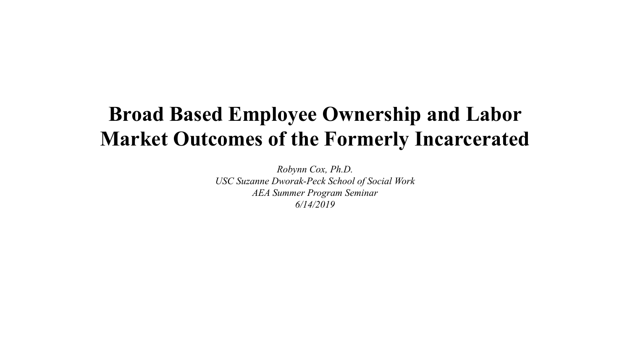#### **Broad Based Employee Ownership and Labor Market Outcomes of the Formerly Incarcerated**

*Robynn Cox, Ph.D. USC Suzanne Dworak-Peck School of Social Work AEA Summer Program Seminar 6/14/2019*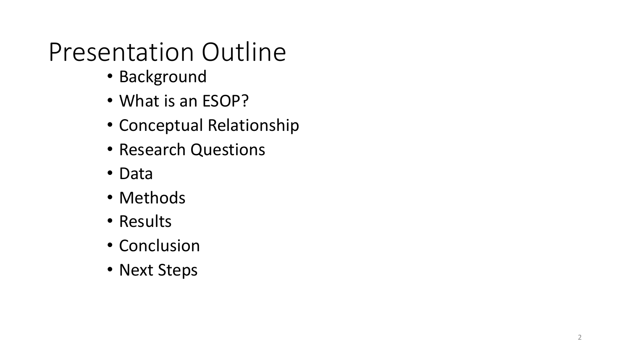# Presentation Outline

- Background
- What is an ESOP?
- Conceptual Relationship
- Research Questions
- Data
- Methods
- Results
- Conclusion
- Next Steps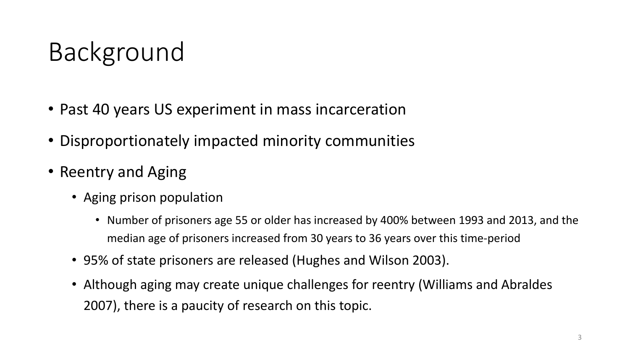- Past 40 years US experiment in mass incarceration
- Disproportionately impacted minority communities
- Reentry and Aging
	- Aging prison population
		- Number of prisoners age 55 or older has increased by 400% between 1993 and 2013, and the median age of prisoners increased from 30 years to 36 years over this time-period
	- 95% of state prisoners are released (Hughes and Wilson 2003).
	- Although aging may create unique challenges for reentry (Williams and Abraldes 2007), there is a paucity of research on this topic.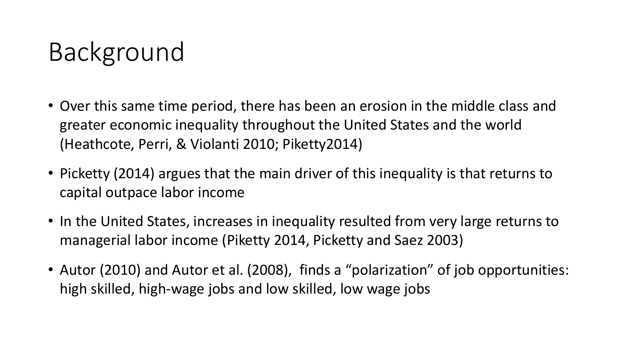- Over this same time period, there has been an erosion in the middle class and greater economic inequality throughout the United States and the world (Heathcote, Perri, & Violanti 2010; Piketty2014)
- Picketty (2014) argues that the main driver of this inequality is that returns to capital outpace labor income
- In the United States, increases in inequality resulted from very large returns to managerial labor income (Piketty 2014, Picketty and Saez 2003)
- Autor (2010) and Autor et al. (2008), finds a "polarization" of job opportunities: high skilled, high-wage jobs and low skilled, low wage jobs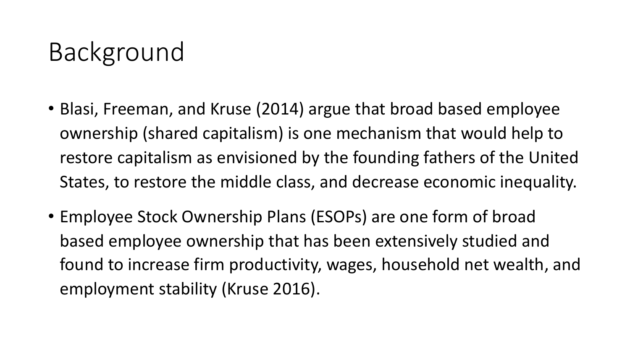- Blasi, Freeman, and Kruse (2014) argue that broad based employee ownership (shared capitalism) is one mechanism that would help to restore capitalism as envisioned by the founding fathers of the United States, to restore the middle class, and decrease economic inequality.
- Employee Stock Ownership Plans (ESOPs) are one form of broad based employee ownership that has been extensively studied and found to increase firm productivity, wages, household net wealth, and employment stability (Kruse 2016).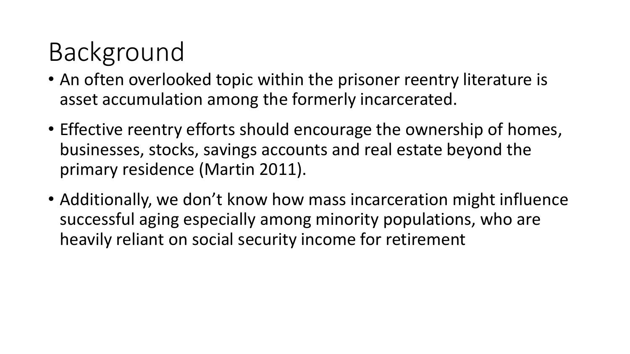- An often overlooked topic within the prisoner reentry literature is asset accumulation among the formerly incarcerated.
- Effective reentry efforts should encourage the ownership of homes, businesses, stocks, savings accounts and real estate beyond the primary residence (Martin 2011).
- Additionally, we don't know how mass incarceration might influence successful aging especially among minority populations, who are heavily reliant on social security income for retirement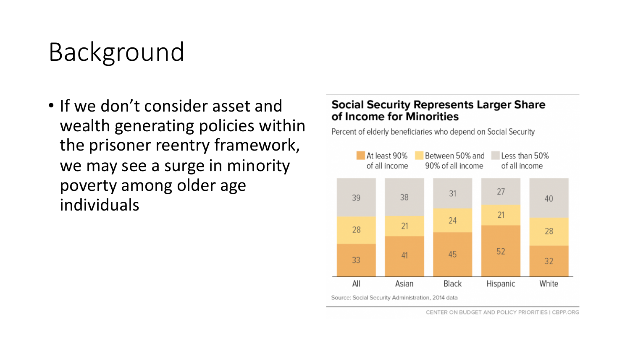• If we don't consider asset and wealth generating policies within the prisoner reentry framework, we may see a surge in minority poverty among older age individuals

#### **Social Security Represents Larger Share** of Income for Minorities

Percent of elderly beneficiaries who depend on Social Security

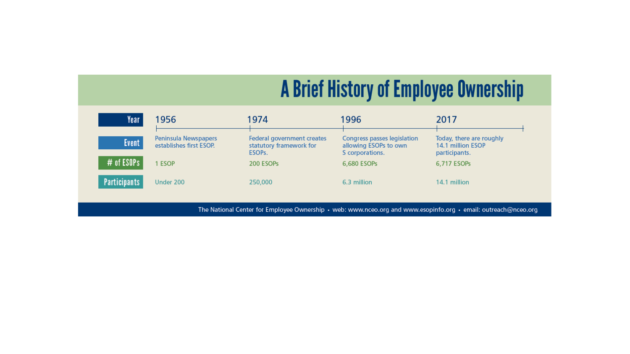#### A Brief History of Employee Ownership

| Year                | 1956                                            | 1974                                                                         | 1996                                                                    | 2017                                                           |
|---------------------|-------------------------------------------------|------------------------------------------------------------------------------|-------------------------------------------------------------------------|----------------------------------------------------------------|
| <b>Event</b>        | Peninsula Newspapers<br>establishes first ESOP. | Federal government creates<br>statutory framework for<br>ESOP <sub>s</sub> . | Congress passes legislation<br>allowing ESOPs to own<br>S corporations. | Today, there are roughly<br>14.1 million ESOP<br>participants. |
| # of ESOPs          | 1 ESOP                                          | 200 ESOPs                                                                    | 6,680 ESOPs                                                             | 6,717 ESOPs                                                    |
| <b>Participants</b> | Under 200                                       | 250,000                                                                      | 6.3 million                                                             | 14.1 million                                                   |

The National Center for Employee Ownership • web: www.nceo.org and www.esopinfo.org • email: outreach@nceo.org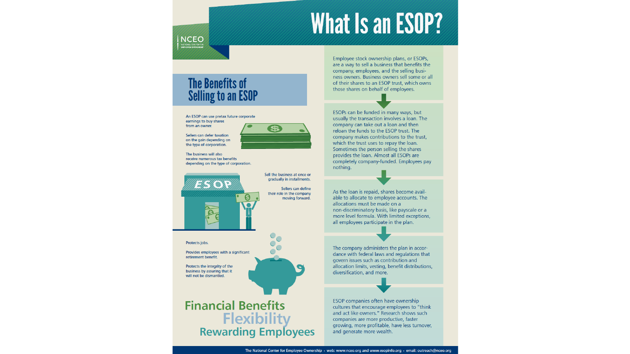#### What Is an ESOP?

#### NCEO ATIONAL CENTER FO<br>MPLOYEE OWNERSH

#### **The Benefits of Selling to an ESOP**

#### An ESOP can use pretax future corporate

earnings to buy shares from an owner.

Sellers can defer taxation on the gain depending on the type of corporation.



Sellers can define

moving forward.

The business will also receive numerous tax benefits depending on the type of corporation.



Protects jobs.

Provides employees with a significant retirement benefit

Protects the integrity of the business by assuring that it will not be dismantled.

**Financial Benefits Flexibility Rewarding Employees**  Employee stock ownership plans, or ESOPs, are a way to sell a business that benefits the company, employees, and the selling business owners. Business owners sell some or all of their shares to an ESOP trust, which owns those shares on behalf of employees.

ESOPs can be funded in many ways, but usually the transaction involves a loan. The company can take out a loan and then reloan the funds to the ESOP trust. The company makes contributions to the trust, which the trust uses to repay the loan. Sometimes the person selling the shares provides the loan. Almost all ESOPs are completely company-funded. Employees pay nothing.

As the loan is repaid, shares become available to allocate to employee accounts. The allocations must be made on a non-discriminatory basis, like payscale or a more level formula. With limited exceptions, all employees participate in the plan.

The company administers the plan in accordance with federal laws and regulations that govern issues such as contribution and allocation limits, vesting, benefit distributions, diversification, and more.

ESOP companies often have ownership cultures that encourage employees to "think and act like owners." Research shows such companies are more productive, faster growing, more profitable, have less turnover, and generate more wealth.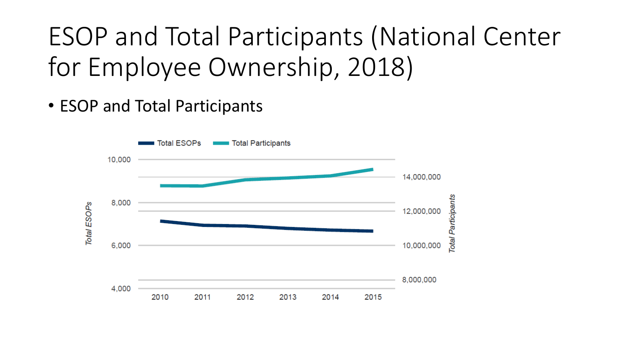# ESOP and Total Participants (National Center for Employee Ownership, 2018)

• ESOP and Total Participants

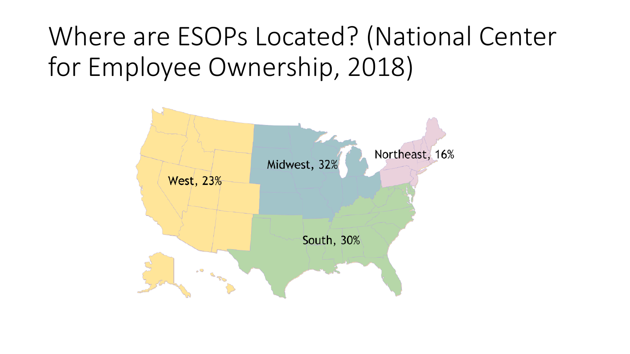# Where are ESOPs Located? (National Center for Employee Ownership, 2018)

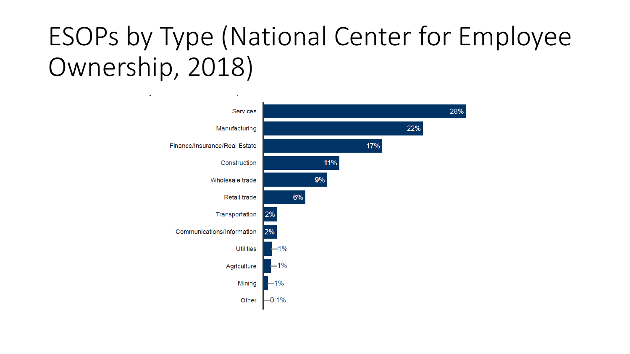# ESOPs by Type (National Center for Employee Ownership, 2018)

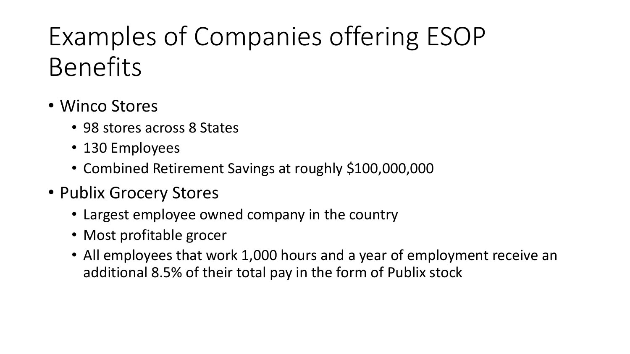# Examples of Companies offering ESOP Benefits

- Winco Stores
	- 98 stores across 8 States
	- 130 Employees
	- Combined Retirement Savings at roughly \$100,000,000
- Publix Grocery Stores
	- Largest employee owned company in the country
	- Most profitable grocer
	- All employees that work 1,000 hours and a year of employment receive an additional 8.5% of their total pay in the form of Publix stock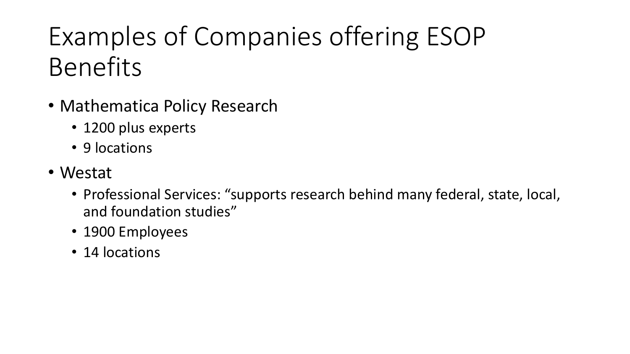# Examples of Companies offering ESOP Benefits

- Mathematica Policy Research
	- 1200 plus experts
	- 9 locations
- Westat
	- Professional Services: "supports research behind many federal, state, local, and foundation studies"
	- 1900 Employees
	- 14 locations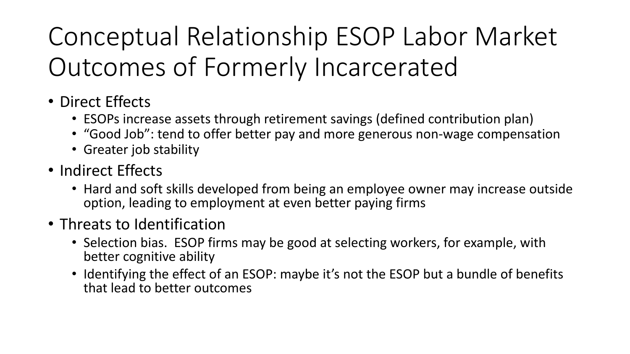# Conceptual Relationship ESOP Labor Market Outcomes of Formerly Incarcerated

- Direct Effects
	- ESOPs increase assets through retirement savings (defined contribution plan)
	- "Good Job": tend to offer better pay and more generous non-wage compensation
	- Greater job stability
- Indirect Effects
	- Hard and soft skills developed from being an employee owner may increase outside option, leading to employment at even better paying firms
- Threats to Identification
	- Selection bias. ESOP firms may be good at selecting workers, for example, with better cognitive ability
	- Identifying the effect of an ESOP: maybe it's not the ESOP but a bundle of benefits that lead to better outcomes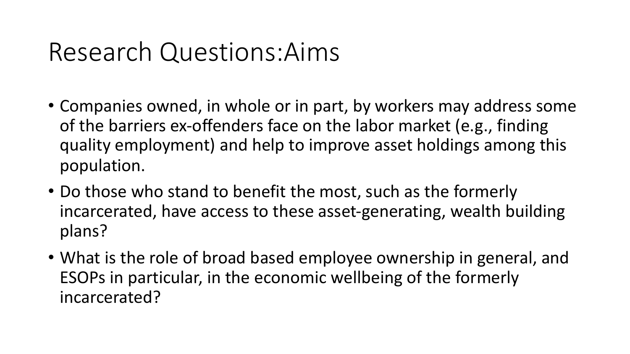## Research Questions:Aims

- Companies owned, in whole or in part, by workers may address some of the barriers ex-offenders face on the labor market (e.g., finding quality employment) and help to improve asset holdings among this population.
- Do those who stand to benefit the most, such as the formerly incarcerated, have access to these asset-generating, wealth building plans?
- What is the role of broad based employee ownership in general, and ESOPs in particular, in the economic wellbeing of the formerly incarcerated?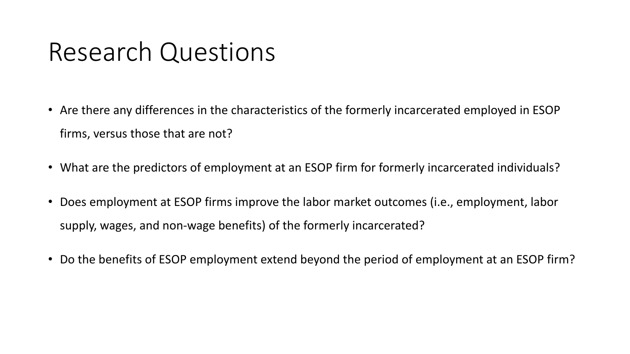#### Research Questions

- Are there any differences in the characteristics of the formerly incarcerated employed in ESOP firms, versus those that are not?
- What are the predictors of employment at an ESOP firm for formerly incarcerated individuals?
- Does employment at ESOP firms improve the labor market outcomes (i.e., employment, labor supply, wages, and non-wage benefits) of the formerly incarcerated?
- Do the benefits of ESOP employment extend beyond the period of employment at an ESOP firm?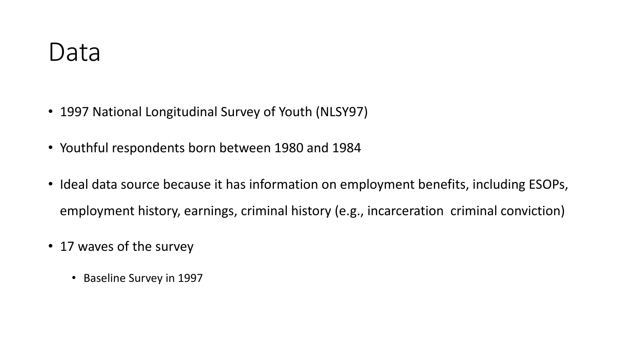- 1997 National Longitudinal Survey of Youth (NLSY97)
- Youthful respondents born between 1980 and 1984
- Ideal data source because it has information on employment benefits, including ESOPs, employment history, earnings, criminal history (e.g., incarceration criminal conviction)
- 17 waves of the survey
	- Baseline Survey in 1997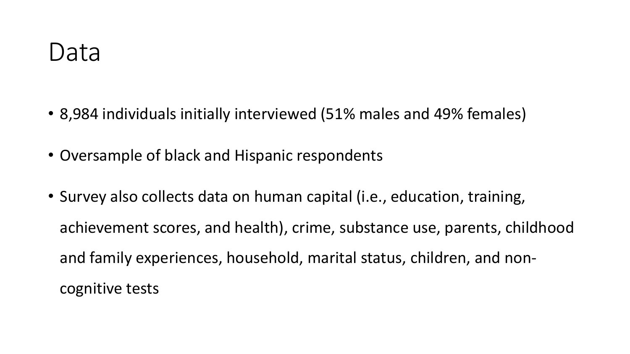- 8,984 individuals initially interviewed (51% males and 49% females)
- Oversample of black and Hispanic respondents
- Survey also collects data on human capital (i.e., education, training, achievement scores, and health), crime, substance use, parents, childhood and family experiences, household, marital status, children, and noncognitive tests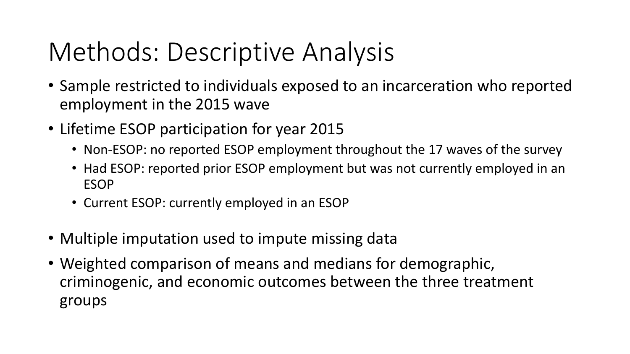# Methods: Descriptive Analysis

- Sample restricted to individuals exposed to an incarceration who reported employment in the 2015 wave
- Lifetime ESOP participation for year 2015
	- Non-ESOP: no reported ESOP employment throughout the 17 waves of the survey
	- Had ESOP: reported prior ESOP employment but was not currently employed in an ESOP
	- Current ESOP: currently employed in an ESOP
- Multiple imputation used to impute missing data
- Weighted comparison of means and medians for demographic, criminogenic, and economic outcomes between the three treatment groups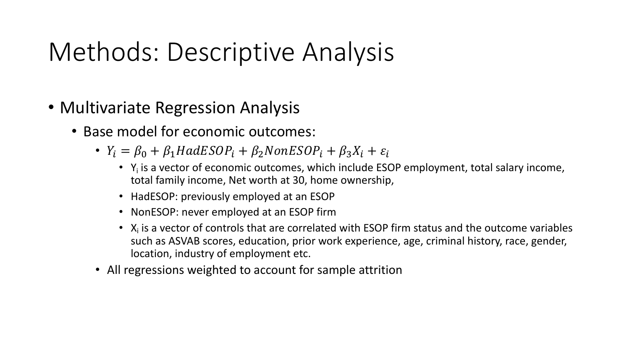# Methods: Descriptive Analysis

- Multivariate Regression Analysis
	- Base model for economic outcomes:
		- $Y_i = \beta_0 + \beta_1 HadESOP_i + \beta_2 NonESOP_i + \beta_3 X_i + \varepsilon_i$ 
			- $Y_i$  is a vector of economic outcomes, which include ESOP employment, total salary income, total family income, Net worth at 30, home ownership,
			- HadESOP: previously employed at an ESOP
			- NonESOP: never employed at an ESOP firm
			- $X_i$  is a vector of controls that are correlated with ESOP firm status and the outcome variables such as ASVAB scores, education, prior work experience, age, criminal history, race, gender, location, industry of employment etc.
		- All regressions weighted to account for sample attrition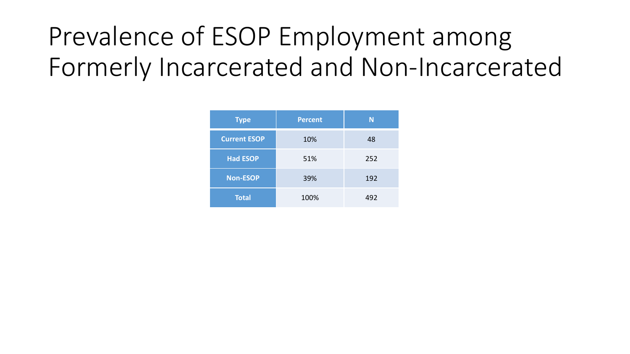# Prevalence of ESOP Employment among Formerly Incarcerated and Non-Incarcerated

| <b>Type</b>         | <b>Percent</b> | N   |
|---------------------|----------------|-----|
| <b>Current ESOP</b> | 10%            | 48  |
| <b>Had ESOP</b>     | 51%            | 252 |
| <b>Non-ESOP</b>     | 39%            | 192 |
| <b>Total</b>        | 100%           | 492 |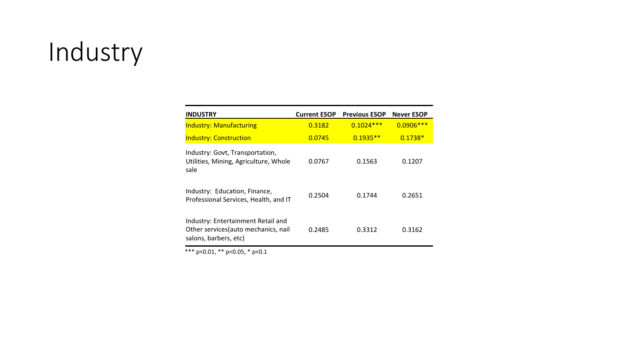# Industry

| <b>INDUSTRY</b>                                                                                     | <b>Current ESOP</b> | <b>Previous ESOP</b> | <b>Never ESOP</b> |
|-----------------------------------------------------------------------------------------------------|---------------------|----------------------|-------------------|
| <b>Industry: Manufacturing</b>                                                                      | 0.3182              | $0.1024***$          | $0.0906***$       |
| <b>Industry: Construction</b>                                                                       | 0.0745              | $0.1935**$           | $0.1738*$         |
| Industry: Govt, Transportation,<br>Utilities, Mining, Agriculture, Whole<br>sale                    | 0.0767              | 0.1563               | 0.1207            |
| Industry: Education, Finance,<br>Professional Services, Health, and IT                              | 0.2504              | 0.1744               | 0.2651            |
| Industry: Entertainment Retail and<br>Other services (auto mechanics, nail<br>salons, barbers, etc) | 0.2485              | 0.3312               | 0.3162            |

\*\*\*  $p<0.01$ , \*\*  $p<0.05$ , \*  $p<0.1$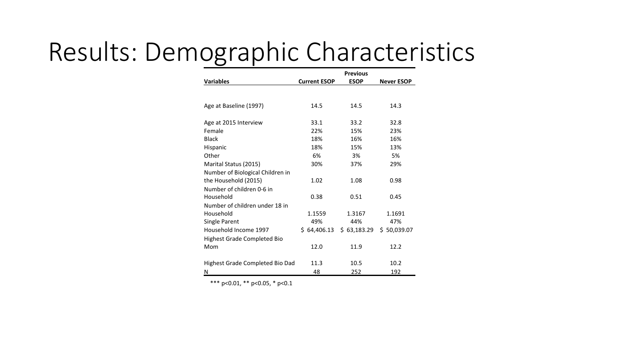# Results: Demographic Characteristics

|                                  | <b>Previous</b>     |             |                   |  |  |  |
|----------------------------------|---------------------|-------------|-------------------|--|--|--|
| <b>Variables</b>                 | <b>Current ESOP</b> | <b>ESOP</b> | <b>Never ESOP</b> |  |  |  |
|                                  |                     |             |                   |  |  |  |
|                                  |                     |             |                   |  |  |  |
| Age at Baseline (1997)           | 14.5                | 14.5        | 14.3              |  |  |  |
|                                  |                     |             |                   |  |  |  |
| Age at 2015 Interview            | 33.1                | 33.2        | 32.8              |  |  |  |
| Female                           | 22%                 | 15%         | 23%               |  |  |  |
| <b>Black</b>                     | 18%                 | 16%         | 16%               |  |  |  |
| Hispanic                         | 18%                 | 15%         | 13%               |  |  |  |
| Other                            | 6%                  | 3%          | 5%                |  |  |  |
| Marital Status (2015)            | 30%                 | 37%         | 29%               |  |  |  |
| Number of Biological Children in |                     |             |                   |  |  |  |
| the Household (2015)             | 1.02                | 1.08        | 0.98              |  |  |  |
| Number of children 0-6 in        |                     |             |                   |  |  |  |
| Household                        | 0.38                | 0.51        | 0.45              |  |  |  |
| Number of children under 18 in   |                     |             |                   |  |  |  |
| Household                        | 1.1559              | 1.3167      | 1.1691            |  |  |  |
| Single Parent                    | 49%                 | 44%         | 47%               |  |  |  |
| Household Income 1997            | \$64,406.13         | \$63,183.29 | \$50,039.07       |  |  |  |
| Highest Grade Completed Bio      |                     |             |                   |  |  |  |
| Mom                              | 12.0                | 11.9        | 12.2              |  |  |  |
|                                  |                     |             |                   |  |  |  |
| Highest Grade Completed Bio Dad  | 11.3                | 10.5        | 10.2              |  |  |  |
| N                                | 48                  | 252         | 192               |  |  |  |

\*\*\*  $p<0.01$ , \*\*  $p<0.05$ , \*  $p<0.1$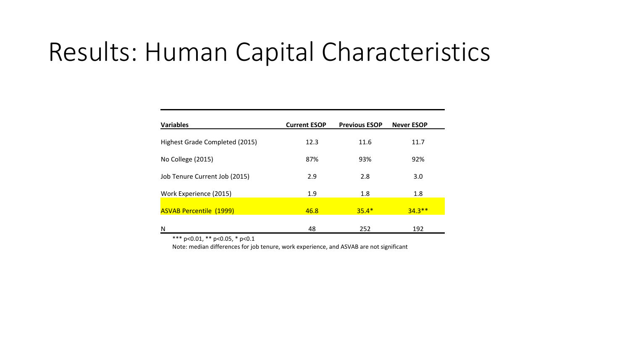#### Results: Human Capital Characteristics

| <b>Variables</b>               | <b>Current ESOP</b> | <b>Previous ESOP</b> | <b>Never ESOP</b> |
|--------------------------------|---------------------|----------------------|-------------------|
| Highest Grade Completed (2015) | 12.3                | 11.6                 | 11.7              |
| No College (2015)              | 87%                 | 93%                  | 92%               |
| Job Tenure Current Job (2015)  | 2.9                 | 2.8                  | 3.0               |
| Work Experience (2015)         | 1.9                 | 1.8                  | 1.8               |
| <b>ASVAB Percentile (1999)</b> | 46.8                | $35.4*$              | $34.3**$          |
| N                              | 48                  | 252                  | 192               |

\*\*\*  $p<0.01$ , \*\*  $p<0.05$ , \*  $p<0.1$ 

Note: median differences for job tenure, work experience, and ASVAB are not significant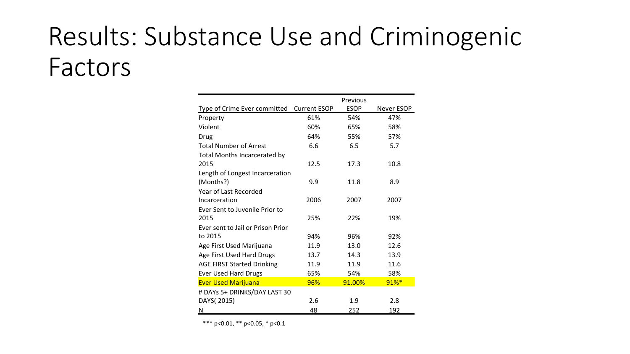# Results: Substance Use and Criminogenic Factors

|                                           |      | Previous    |            |
|-------------------------------------------|------|-------------|------------|
| Type of Crime Ever committed Current ESOP |      | <b>ESOP</b> | Never ESOP |
| Property                                  | 61%  | 54%         | 47%        |
| Violent                                   | 60%  | 65%         | 58%        |
| Drug                                      | 64%  | 55%         | 57%        |
| <b>Total Number of Arrest</b>             | 6.6  | 6.5         | 5.7        |
| <b>Total Months Incarcerated by</b>       |      |             |            |
| 2015                                      | 12.5 | 17.3        | 10.8       |
| Length of Longest Incarceration           |      |             |            |
| (Months?)                                 | 9.9  | 11.8        | 8.9        |
| Year of Last Recorded                     |      |             |            |
| Incarceration                             | 2006 | 2007        | 2007       |
| Ever Sent to Juvenile Prior to            |      |             |            |
| 2015                                      | 25%  | 22%         | 19%        |
| Ever sent to Jail or Prison Prior         |      |             |            |
| to 2015                                   | 94%  | 96%         | 92%        |
| Age First Used Marijuana                  | 11.9 | 13.0        | 12.6       |
| Age First Used Hard Drugs                 | 13.7 | 14.3        | 13.9       |
| <b>AGE FIRST Started Drinking</b>         | 11.9 | 11.9        | 11.6       |
| <b>Ever Used Hard Drugs</b>               | 65%  | 54%         | 58%        |
| <b>Ever Used Marijuana</b>                | 96%  | 91.00%      | $91%$ *    |
| # DAYs 5+ DRINKS/DAY LAST 30              |      |             |            |
| DAYS(2015)                                | 2.6  | 1.9         | 2.8        |
| N                                         | 48   | 252         | 192        |

\*\*\*  $p<0.01$ , \*\*  $p<0.05$ , \*  $p<0.1$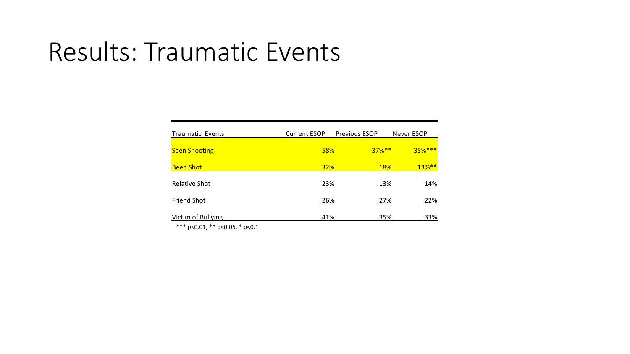#### Results: Traumatic Events

| <b>Traumatic Events</b> | <b>Current ESOP</b> | <b>Previous ESOP</b> |            | Never ESOP |
|-------------------------|---------------------|----------------------|------------|------------|
| <b>Seen Shooting</b>    | <b>58%</b>          |                      | $37%**$    | $35%***$   |
| <b>Been Shot</b>        | <b>32%</b>          |                      | <b>18%</b> | 13%**      |
| <b>Relative Shot</b>    | 23%                 |                      | 13%        | 14%        |
| <b>Friend Shot</b>      | 26%                 |                      | 27%        | 22%        |
| Victim of Bullying      | 41%                 |                      | 35%        | 33%        |

\*\*\*  $p<0.01$ , \*\*  $p<0.05$ , \*  $p<0.1$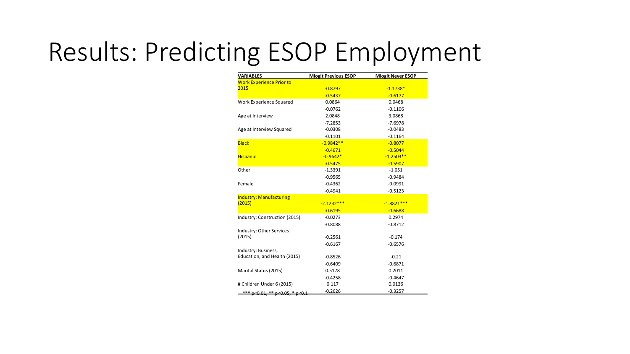# Results: Predicting ESOP Employment

| <b>VARIABLES</b>                | <b>Mlogit Previous ESOP</b> | <b>Mlogit Never ESOP</b> |
|---------------------------------|-----------------------------|--------------------------|
| <b>Work Experience Prior to</b> |                             |                          |
| 2015                            | $-0.8797$                   | $-1.1738*$               |
|                                 | $-0.5437$                   | $-0.6177$                |
| Work Experience Squared         | 0.0864                      | 0.0468                   |
|                                 | $-0.0762$                   | $-0.1106$                |
| Age at Interview                | 2.0848                      | 3.0868                   |
|                                 | $-7.2853$                   | $-7.6978$                |
| Age at Interview Squared        | $-0.0308$                   | $-0.0483$                |
|                                 | $-0.1101$                   | $-0.1164$                |
| <b>Black</b>                    | $-0.9842**$                 | $-0.8077$                |
|                                 | $-0.4671$                   | $-0.5044$                |
| <b>Hispanic</b>                 | $-0.9642*$                  | $-1.2503**$              |
|                                 | $-0.5475$                   | $-0.5907$                |
| Other                           | $-1.3391$                   | $-1.051$                 |
|                                 | $-0.9565$                   | $-0.9484$                |
| Female                          | $-0.4362$                   | $-0.0991$                |
|                                 | $-0.4941$                   | $-0.5123$                |
| <b>Industry: Manufacturing</b>  |                             |                          |
| (2015)                          | $-2.1232***$                | $-1.8821***$             |
|                                 | $-0.6195$                   | $-0.6688$                |
| Industry: Construction (2015)   | $-0.0273$                   | 0.2974                   |
|                                 | $-0.8088$                   | $-0.8712$                |
| Industry: Other Services        |                             |                          |
| (2015)                          | $-0.2561$                   | $-0.174$                 |
|                                 | $-0.6167$                   | $-0.6576$                |
| Industry: Business,             |                             |                          |
| Education, and Health (2015)    | $-0.8526$                   | $-0.21$                  |
|                                 | $-0.6409$                   | $-0.6871$                |
| Marital Status (2015)           | 0.5178                      | 0.2011                   |
|                                 | $-0.4258$                   | $-0.4647$                |
| # Children Under 6 (2015)       | 0.117                       | 0.0136                   |
| *** p<0.01, ** p<0.05, * p<0.1  | $-0.2626$                   | $-0.3257$                |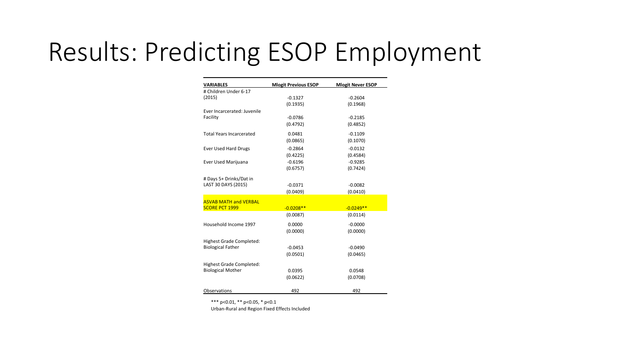#### Results: Predicting ESOP Employment

| <b>VARIABLES</b>                | <b>Mlogit Previous ESOP</b> | <b>Mlogit Never ESOP</b> |  |  |
|---------------------------------|-----------------------------|--------------------------|--|--|
| # Children Under 6-17           |                             |                          |  |  |
| (2015)                          | $-0.1327$                   | $-0.2604$                |  |  |
|                                 | (0.1935)                    | (0.1968)                 |  |  |
| Ever Incarcerated: Juvenile     |                             |                          |  |  |
| Facility                        | $-0.0786$                   | $-0.2185$                |  |  |
|                                 | (0.4792)                    | (0.4852)                 |  |  |
| <b>Total Years Incarcerated</b> | 0.0481                      | $-0.1109$                |  |  |
|                                 | (0.0865)                    | (0.1070)                 |  |  |
| <b>Ever Used Hard Drugs</b>     | $-0.2864$                   | $-0.0132$                |  |  |
|                                 | (0.4225)                    | (0.4584)                 |  |  |
| Ever Used Marijuana             | $-0.6196$                   | $-0.9285$                |  |  |
|                                 | (0.6757)                    | (0.7424)                 |  |  |
| # Days 5+ Drinks/Dat in         |                             |                          |  |  |
| LAST 30 DAYS (2015)             | $-0.0371$                   | $-0.0082$                |  |  |
|                                 | (0.0409)                    | (0.0410)                 |  |  |
| <b>ASVAB MATH and VERBAL</b>    |                             |                          |  |  |
| <b>SCORE PCT 1999</b>           | $-0.0208**$                 | $-0.0249**$              |  |  |
|                                 | (0.0087)                    | (0.0114)                 |  |  |
| Household Income 1997           | 0.0000                      | $-0.0000$                |  |  |
|                                 | (0.0000)                    | (0.0000)                 |  |  |
| Highest Grade Completed:        |                             |                          |  |  |
| <b>Biological Father</b>        | $-0.0453$                   | $-0.0490$                |  |  |
|                                 | (0.0501)                    | (0.0465)                 |  |  |
|                                 |                             |                          |  |  |
| Highest Grade Completed:        |                             |                          |  |  |
| <b>Biological Mother</b>        | 0.0395                      | 0.0548                   |  |  |
|                                 | (0.0622)                    | (0.0708)                 |  |  |
| Observations                    | 492                         | 492                      |  |  |

\*\*\*  $p<0.01$ , \*\*  $p<0.05$ , \*  $p<0.1$ 

Urban-Rural and Region Fixed Effects Included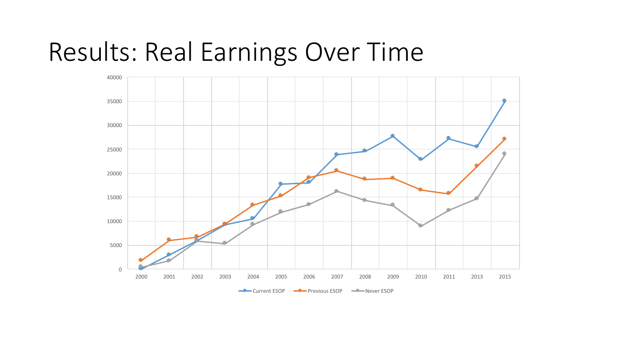## Results: Real Earnings Over Time

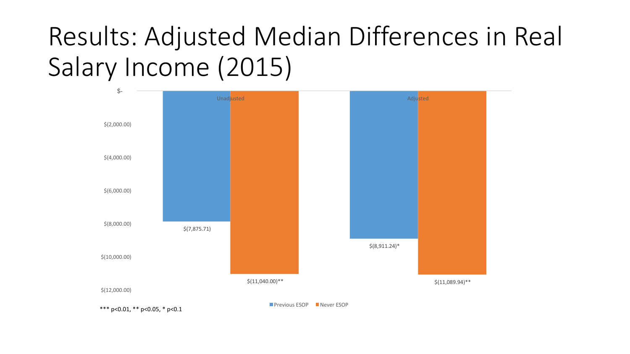# Results: Adjusted Median Differences in Real Salary Income (2015)



\*\*\*  $p<0.01$ , \*\*  $p<0.05$ , \*  $p<0.1$ 

**Previous ESOP** Never ESOP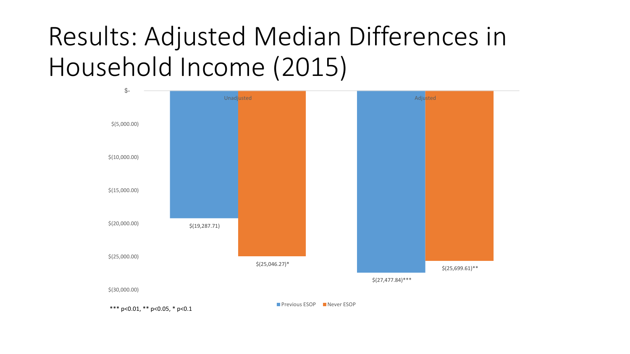# Results: Adjusted Median Differences in Household Income (2015)

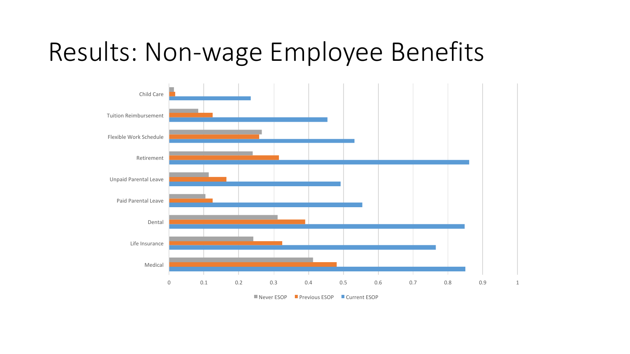#### Results: Non-wage Employee Benefits



 $\blacksquare$  Never ESOP  $\blacksquare$  Previous ESOP  $\blacksquare$  Current ESOP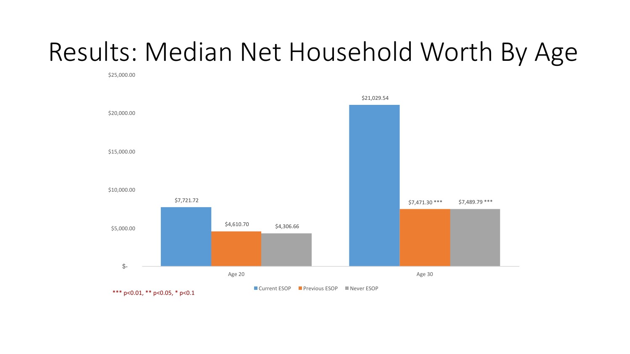# Results: Median Net Household Worth By Age

\$25,000.00 

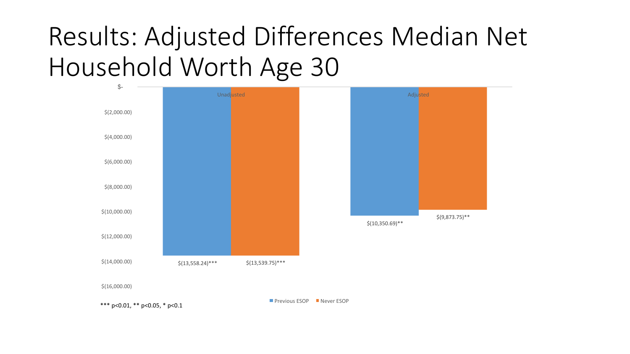# Results: Adjusted Differences Median Net Household Worth Age 30



\$(16,000.00)

**Previous ESOP** Never ESOP

\*\*\*  $p<0.01$ , \*\*  $p<0.05$ , \*  $p<0.1$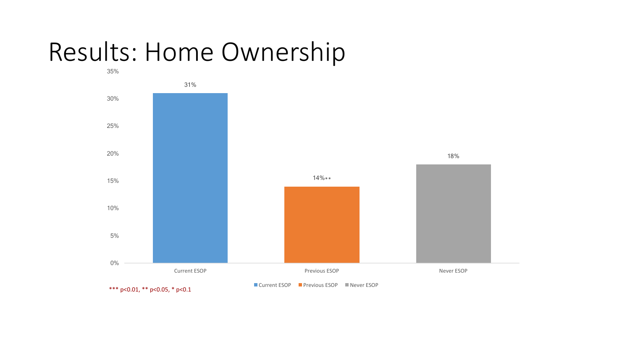#### Results: Home Ownership

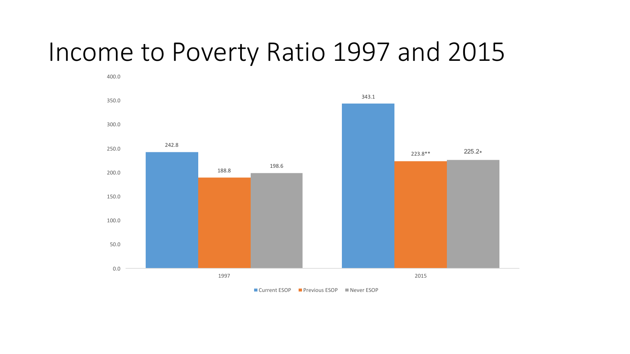#### Income to Poverty Ratio 1997 and 2015



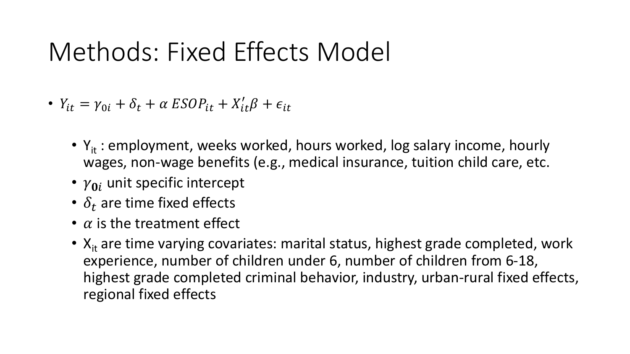## Methods: Fixed Effects Model

- $Y_{it} = \gamma_{0i} + \delta_t + \alpha ESDP_{it} + X'_{it}\beta + \epsilon_{it}$ 
	- $Y_{it}$ : employment, weeks worked, hours worked, log salary income, hourly wages, non-wage benefits (e.g., medical insurance, tuition child care, etc.
	- $\gamma_{0i}$  unit specific intercept
	- $\delta_t$  are time fixed effects
	- $\alpha$  is the treatment effect
	- $X_{it}$  are time varying covariates: marital status, highest grade completed, work experience, number of children under 6, number of children from 6-18, highest grade completed criminal behavior, industry, urban-rural fixed effects, regional fixed effects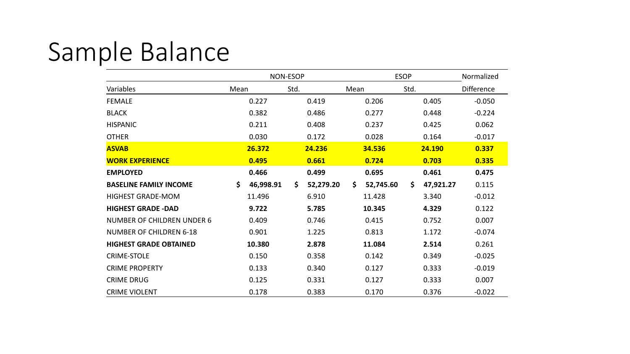# Sample Balance

|                                   |                 | NON-ESOP         | <b>ESOP</b>     | Normalized       |            |
|-----------------------------------|-----------------|------------------|-----------------|------------------|------------|
| Variables                         | Mean            | Std.             | Mean            | Std.             | Difference |
| <b>FEMALE</b>                     | 0.227           | 0.419            | 0.206           | 0.405            | $-0.050$   |
| <b>BLACK</b>                      | 0.382           | 0.486            | 0.277           | 0.448            | $-0.224$   |
| <b>HISPANIC</b>                   | 0.211           | 0.408            | 0.237           | 0.425            | 0.062      |
| <b>OTHER</b>                      | 0.030           | 0.172            | 0.028           | 0.164            | $-0.017$   |
| <b>ASVAB</b>                      | 26.372          | 24.236           | 34.536          | 24.190           | 0.337      |
| <b>WORK EXPERIENCE</b>            | 0.495           | 0.661            | 0.724           | 0.703            | 0.335      |
| <b>EMPLOYED</b>                   | 0.466           | 0.499            | 0.695           | 0.461            | 0.475      |
| <b>BASELINE FAMILY INCOME</b>     | \$<br>46,998.91 | \$.<br>52,279.20 | \$<br>52,745.60 | 47,921.27<br>\$. | 0.115      |
| <b>HIGHEST GRADE-MOM</b>          | 11.496          | 6.910            | 11.428          | 3.340            | $-0.012$   |
| <b>HIGHEST GRADE -DAD</b>         | 9.722           | 5.785            | 10.345          | 4.329            | 0.122      |
| <b>NUMBER OF CHILDREN UNDER 6</b> | 0.409           | 0.746            | 0.415           | 0.752            | 0.007      |
| <b>NUMBER OF CHILDREN 6-18</b>    | 0.901           | 1.225            | 0.813           | 1.172            | $-0.074$   |
| <b>HIGHEST GRADE OBTAINED</b>     | 10.380          | 2.878            | 11.084          | 2.514            | 0.261      |
| <b>CRIME-STOLE</b>                | 0.150           | 0.358            | 0.142           | 0.349            | $-0.025$   |
| <b>CRIME PROPERTY</b>             | 0.133           | 0.340            | 0.127           | 0.333            | $-0.019$   |
| <b>CRIME DRUG</b>                 | 0.125           | 0.331            | 0.127           | 0.333            | 0.007      |
| <b>CRIME VIOLENT</b>              | 0.178           | 0.383            | 0.170           | 0.376            | $-0.022$   |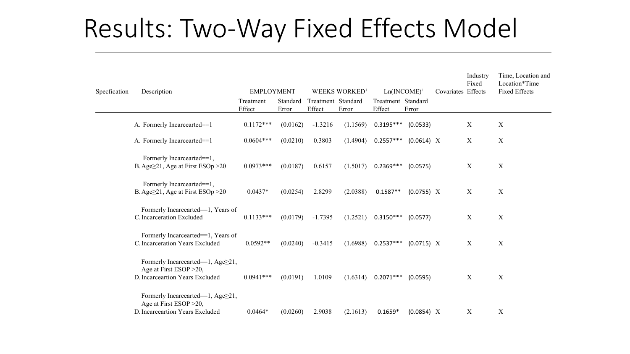# Results: Two-Way Fixed Effects Model

| Specfication | Description                                                                                     | <b>EMPLOYMENT</b>   |                   | WEEKS WORKED <sup>+</sup>    |          | $Ln(INCOME)^+$               |            | Covariates Effects | Industry<br>Fixed | Time, Location and<br>Location*Time<br><b>Fixed Effects</b> |
|--------------|-------------------------------------------------------------------------------------------------|---------------------|-------------------|------------------------------|----------|------------------------------|------------|--------------------|-------------------|-------------------------------------------------------------|
|              |                                                                                                 | Treatment<br>Effect | Standard<br>Error | Treatment Standard<br>Effect | Error    | Treatment Standard<br>Effect | Error      |                    |                   |                                                             |
|              | A. Formerly Incarcearted==1                                                                     | $0.1172***$         | (0.0162)          | $-1.3216$                    | (1.1569) | $0.3195***$                  | (0.0533)   |                    | $\mathbf X$       | $\mathbf X$                                                 |
|              | A. Formerly Incarcearted==1                                                                     | $0.0604***$         | (0.0210)          | 0.3803                       | (1.4904) | $0.2557***$                  | (0.0614) X |                    | $\boldsymbol{X}$  | $\mathbf X$                                                 |
|              | Formerly Incarcearted==1,<br>B. Age $\geq$ 21, Age at First ESOp $>$ 20                         | $0.0973***$         | (0.0187)          | 0.6157                       | (1.5017) | $0.2369***$                  | (0.0575)   |                    | $\mathbf X$       | $\mathbf X$                                                 |
|              | Formerly Incarcearted==1,<br>B. Age $\geq$ 21, Age at First ESOp > 20                           | $0.0437*$           | (0.0254)          | 2.8299                       | (2.0388) | $0.1587**$                   | (0.0755) X |                    | $\boldsymbol{X}$  | $\mathbf X$                                                 |
|              | Formerly Incarcearted==1, Years of<br>C. Incarceration Excluded                                 | $0.1133***$         | (0.0179)          | $-1.7395$                    | (1.2521) | $0.3150***$                  | (0.0577)   |                    | $\mathbf X$       | $\mathbf X$                                                 |
|              | Formerly Incarcearted==1, Years of<br>C. Incarceration Years Excluded                           | $0.0592**$          | (0.0240)          | $-0.3415$                    | (1.6988) | $0.2537***$                  | (0.0715) X |                    | $\mathbf X$       | $\mathbf X$                                                 |
|              | Formerly Incarcearted==1, Age≥21,<br>Age at First ESOP > 20,<br>D. Incarceartion Years Excluded | $0.0941***$         | (0.0191)          | 1.0109                       | (1.6314) | $0.2071***$                  | (0.0595)   |                    | $\mathbf X$       | $\mathbf X$                                                 |
|              | Formerly Incarcearted==1, Age≥21,<br>Age at First ESOP > 20,<br>D. Incarceartion Years Excluded | $0.0464*$           | (0.0260)          | 2.9038                       | (2.1613) | $0.1659*$                    | (0.0854) X |                    | $\boldsymbol{X}$  | X                                                           |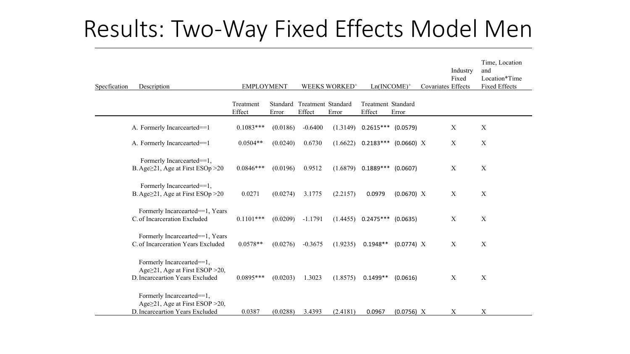#### Results: Two-Way Fixed Effects Model Men

| Specfication | Description                                                                                            | <b>EMPLOYMENT</b>   |          |                                       | WEEKS WORKED <sup>+</sup> |                              | $Ln(INCOME)^+$ | Covariates Effects | Industry<br>Fixed | Time, Location<br>and<br>Location*Time<br><b>Fixed Effects</b> |
|--------------|--------------------------------------------------------------------------------------------------------|---------------------|----------|---------------------------------------|---------------------------|------------------------------|----------------|--------------------|-------------------|----------------------------------------------------------------|
|              |                                                                                                        | Treatment<br>Effect | Error    | Standard Treatment Standard<br>Effect | Error                     | Treatment Standard<br>Effect | Error          |                    |                   |                                                                |
|              | A. Formerly Incarcearted==1                                                                            | $0.1083***$         | (0.0186) | $-0.6400$                             | (1.3149)                  | $0.2615***$ (0.0579)         |                |                    | $\mathbf X$       | $\boldsymbol{X}$                                               |
|              | A. Formerly Incarcearted==1                                                                            | $0.0504**$          | (0.0240) | 0.6730                                | (1.6622)                  | $0.2183***$                  | (0.0660) X     |                    | X                 | X                                                              |
|              | Formerly Incarcearted==1,<br>B. Age $\geq$ 21, Age at First ESOp $>$ 20                                | $0.0846***$         | (0.0196) | 0.9512                                | (1.6879)                  | $0.1889***$                  | (0.0607)       |                    | $\mathbf X$       | $\mathbf X$                                                    |
|              | Formerly Incarcearted==1,<br>B. Age $\geq$ 21, Age at First ESOp $>$ 20                                | 0.0271              | (0.0274) | 3.1775                                | (2.2157)                  | 0.0979                       | (0.0670) X     |                    | X                 | $\mathbf X$                                                    |
|              | Formerly Incarcearted==1, Years<br>C. of Incarceration Excluded                                        | $0.1101***$         | (0.0209) | $-1.1791$                             | (1.4455)                  | $0.2475***$ (0.0635)         |                |                    | $\mathbf X$       | $\mathbf X$                                                    |
|              | Formerly Incarcearted==1, Years<br>C. of Incarceration Years Excluded                                  | $0.0578**$          | (0.0276) | $-0.3675$                             | (1.9235)                  | $0.1948**$                   | (0.0774) X     |                    | $\mathbf X$       | $\boldsymbol{X}$                                               |
|              | Formerly Incarcearted==1,<br>Age $\geq$ 21, Age at First ESOP > 20,<br>D. Incarceartion Years Excluded | $0.0895***$         | (0.0203) | 1.3023                                | (1.8575)                  | $0.1499**$                   | (0.0616)       |                    | $\boldsymbol{X}$  | X                                                              |
|              | Formerly Incarcearted==1,<br>Age≥21, Age at First ESOP > 20,<br>D. Incarceartion Years Excluded        | 0.0387              | (0.0288) | 3.4393                                | (2.4181)                  | 0.0967                       | (0.0756) X     |                    | $\mathbf X$       | $\mathbf X$                                                    |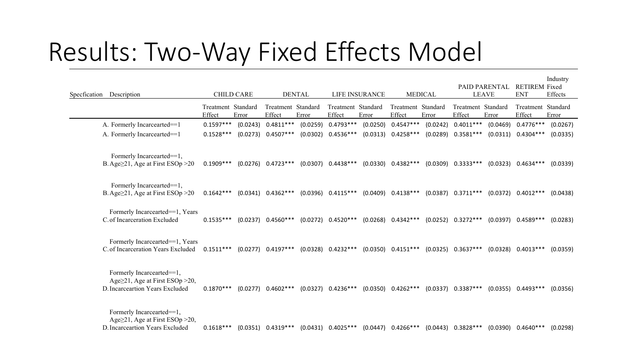## Results: Two-Way Fixed Effects Model

| Specfication Description |                                                                                                        | <b>CHILD CARE</b>            |          | <b>DENTAL</b>                |          | LIFE INSURANCE               |          | <b>MEDICAL</b>               |          | <b>PAID PARENTAL</b><br><b>LEAVE</b> |          | <b>RETIREM Fixed</b><br><b>ENT</b> | Industry<br>Effects |
|--------------------------|--------------------------------------------------------------------------------------------------------|------------------------------|----------|------------------------------|----------|------------------------------|----------|------------------------------|----------|--------------------------------------|----------|------------------------------------|---------------------|
|                          |                                                                                                        | Treatment Standard<br>Effect | Error    | Treatment Standard<br>Effect | Error    | Treatment Standard<br>Effect | Error    | Treatment Standard<br>Effect | Error    | Treatment Standard<br>Effect         | Error    | Treatment Standard<br>Effect       | Error               |
|                          | A. Formerly Incarcearted==1                                                                            | $0.1597***$                  | (0.0243) | $0.4811***$                  | (0.0259) | $0.4793***$                  | (0.0250) | $0.4547***$                  | (0.0242) | $0.4011***$                          | (0.0469) | $0.4776***$                        | (0.0267)            |
|                          | A. Formerly Incarcearted==1                                                                            | $0.1528***$                  | (0.0273) | $0.4507***$                  | (0.0302) | $0.4536***$                  | (0.0313) | $0.4258***$                  | (0.0289) | $0.3581***$                          |          | $(0.0311)$ 0.4304***               | (0.0335)            |
|                          | Formerly Incarcearted==1,<br>B. Age $\geq$ 21, Age at First ESOp $>$ 20                                | $0.1909***$                  | (0.0276) | $0.4723***$                  |          | $(0.0307)$ 0.4438***         | (0.0330) | $0.4382***$                  | (0.0309) | $0.3333***$                          | (0.0323) | $0.4634***$                        | (0.0339)            |
|                          | Formerly Incarcearted==1,<br>B. Age≥21, Age at First ESOp >20                                          | $0.1642***$                  | (0.0341) | $0.4362***$                  |          | $(0.0396)$ $0.4115***$       |          | $(0.0409)$ 0.4138***         |          | $(0.0387)$ $0.3711***$               |          | $(0.0372)$ 0.4012***               | (0.0438)            |
|                          | Formerly Incarcearted==1, Years<br>C. of Incarceration Excluded                                        | $0.1535***$                  |          | $(0.0237)$ 0.4560***         |          | $(0.0272)$ 0.4520***         |          | $(0.0268)$ 0.4342***         | (0.0252) | $0.3272***$                          | (0.0397) | $0.4589***$                        | (0.0283)            |
|                          | Formerly Incarcearted==1, Years<br>C. of Incarceration Years Excluded                                  | $0.1511***$                  | (0.0277) | $0.4197***$                  |          | $(0.0328)$ 0.4232***         |          | $(0.0350)$ $0.4151***$       | (0.0325) | $0.3637***$                          | (0.0328) | $0.4013***$                        | (0.0359)            |
|                          | Formerly Incarcearted==1,<br>Age $\geq$ 21, Age at First ESOp > 20,<br>D. Incarceartion Years Excluded | $0.1870***$                  | (0.0277) | $0.4602***$                  |          | $(0.0327)$ 0.4236***         | (0.0350) | $0.4262***$                  | (0.0337) | $0.3387***$                          | (0.0355) | $0.4493***$                        | (0.0356)            |
|                          | Formerly Incarcearted==1,<br>Age $\geq$ 21, Age at First ESOp > 20,<br>D. Incarceartion Years Excluded | $0.1618***$                  | (0.0351) | $0.4319***$                  | (0.0431) | $0.4025***$                  | (0.0447) | $0.4266***$                  | (0.0443) | $0.3828***$                          | (0.0390) | $0.4640***$                        | (0.0298)            |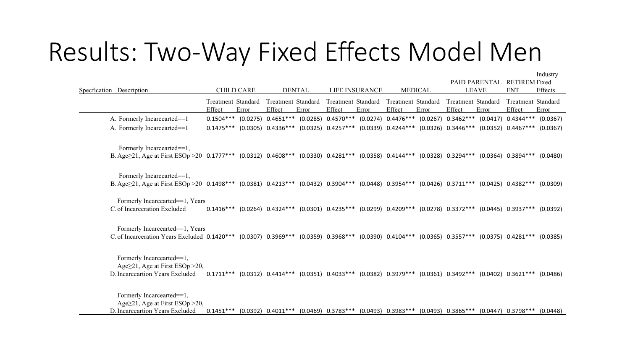#### Results: Two-Way Fixed Effects Model Men

| Specfication Description                                                                                                                             |                              | <b>CHILD CARE</b> | <b>DENTAL</b>                |       | LIFE INSURANCE |       | <b>MEDICAL</b>                                                                                                                            |       | PAID PARENTAL<br><b>LEAVE</b> |       | <b>RETIREM Fixed</b><br><b>ENT</b> | Industry<br>Effects |
|------------------------------------------------------------------------------------------------------------------------------------------------------|------------------------------|-------------------|------------------------------|-------|----------------|-------|-------------------------------------------------------------------------------------------------------------------------------------------|-------|-------------------------------|-------|------------------------------------|---------------------|
|                                                                                                                                                      | Treatment Standard<br>Effect | Error             | Treatment Standard<br>Effect | Error | Effect         | Error | Treatment Standard Treatment Standard<br>Effect                                                                                           | Error | Treatment Standard<br>Effect  | Error | Treatment Standard<br>Effect       | Error               |
| A. Formerly Incarcearted==1                                                                                                                          |                              |                   |                              |       |                |       | 0.1504*** (0.0275) 0.4651*** (0.0285) 0.4570*** (0.0274) 0.4476*** (0.0267) 0.3462*** (0.0417) 0.4344***                                  |       |                               |       |                                    | (0.0367)            |
| A. Formerly Incarcearted==1                                                                                                                          |                              |                   |                              |       |                |       | 0.1475*** (0.0305) 0.4336*** (0.0325) 0.4257*** (0.0339) 0.4244*** (0.0326) 0.3446***                                                     |       |                               |       | $(0.0352)$ 0.4467***               | (0.0367)            |
| Formerly Incarcearted==1,                                                                                                                            |                              |                   |                              |       |                |       |                                                                                                                                           |       |                               |       |                                    |                     |
| B. Age $\geq$ 21, Age at First ESOp > 20 0.1777*** (0.0312) 0.4608*** (0.0330) 0.4281*** (0.0358) 0.4144*** (0.0328) 0.3294*** (0.0364) 0.3894***    |                              |                   |                              |       |                |       |                                                                                                                                           |       |                               |       |                                    | (0.0480)            |
| Formerly Incarcearted==1,                                                                                                                            |                              |                   |                              |       |                |       |                                                                                                                                           |       |                               |       |                                    |                     |
| B.Age $\geq$ 21, Age at First ESOp > 20 0.1498*** (0.0381) 0.4213*** (0.0432) 0.3904*** (0.0448) 0.3954*** (0.0426) 0.3711*** (0.0425) 0.4382***     |                              |                   |                              |       |                |       |                                                                                                                                           |       |                               |       |                                    | (0.0309)            |
| Formerly Incarcearted==1, Years                                                                                                                      |                              |                   |                              |       |                |       |                                                                                                                                           |       |                               |       |                                    |                     |
| C. of Incarceration Excluded                                                                                                                         |                              |                   |                              |       |                |       | $0.1416***$ (0.0264) $0.4324***$ (0.0301) $0.4235***$ (0.0299) $0.4209***$ (0.0278) $0.3372***$ (0.0445) $0.3937***$                      |       |                               |       |                                    | (0.0392)            |
| Formerly Incarcearted==1, Years                                                                                                                      |                              |                   |                              |       |                |       |                                                                                                                                           |       |                               |       |                                    |                     |
| C. of Incarceration Years Excluded 0.1420*** (0.0307) 0.3969*** (0.0359) 0.3968*** (0.0390) 0.4104*** (0.0365) 0.3557*** (0.0375) 0.4281*** (0.0385) |                              |                   |                              |       |                |       |                                                                                                                                           |       |                               |       |                                    |                     |
| Formerly Incarcearted==1,<br>Age $\geq$ 21, Age at First ESOp > 20,                                                                                  |                              |                   |                              |       |                |       |                                                                                                                                           |       |                               |       |                                    |                     |
| D. Incarceartion Years Excluded                                                                                                                      |                              |                   |                              |       |                |       | $0.1711***$ $(0.0312)$ $0.4414***$ $(0.0351)$ $0.4033***$ $(0.0382)$ $0.3979***$ $(0.0361)$ $0.3492***$ $(0.0402)$ $0.3621***$ $(0.0486)$ |       |                               |       |                                    |                     |
| Formerly Incarcearted==1,<br>Age $\geq$ 21, Age at First ESOp $>$ 20,                                                                                |                              |                   |                              |       |                |       |                                                                                                                                           |       |                               |       |                                    |                     |

D. Incarceartion Years Excluded 0.1451\*\*\* (0.0392) 0.4011\*\*\* (0.0469) 0.3783\*\*\* (0.0493) 0.3983\*\*\* (0.0493) 0.3865\*\*\* (0.0447) 0.3798\*\*\* (0.0448)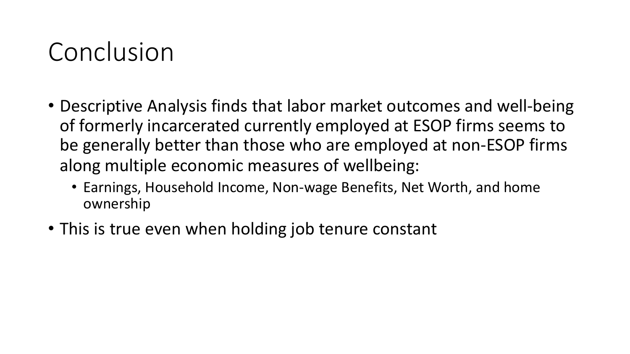#### Conclusion

- Descriptive Analysis finds that labor market outcomes and well-being of formerly incarcerated currently employed at ESOP firms seems to be generally better than those who are employed at non-ESOP firms along multiple economic measures of wellbeing:
	- Earnings, Household Income, Non-wage Benefits, Net Worth, and home ownership
- This is true even when holding job tenure constant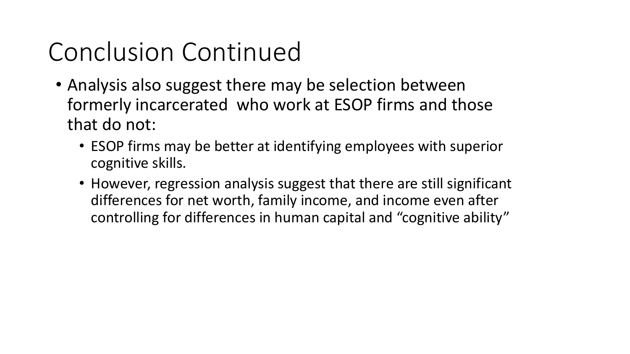# Conclusion Continued

- Analysis also suggest there may be selection between formerly incarcerated who work at ESOP firms and those that do not:
	- ESOP firms may be better at identifying employees with superior cognitive skills.
	- However, regression analysis suggest that there are still significant differences for net worth, family income, and income even after controlling for differences in human capital and "cognitive ability"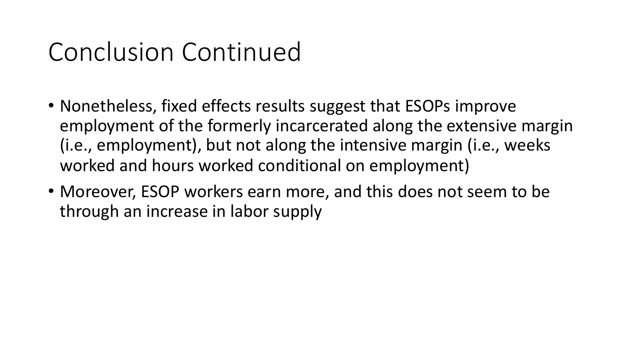## Conclusion Continued

- Nonetheless, fixed effects results suggest that ESOPs improve employment of the formerly incarcerated along the extensive margin (i.e., employment), but not along the intensive margin (i.e., weeks worked and hours worked conditional on employment)
- Moreover, ESOP workers earn more, and this does not seem to be through an increase in labor supply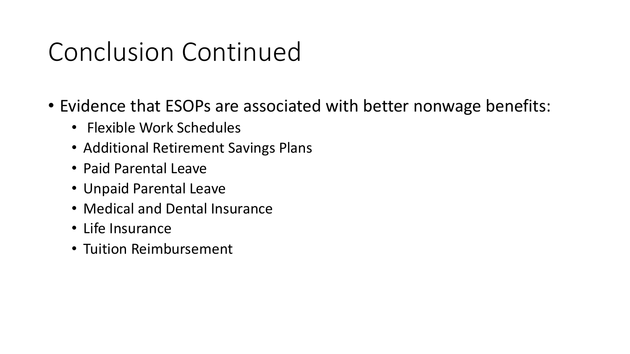# Conclusion Continued

- Evidence that ESOPs are associated with better nonwage benefits:
	- Flexible Work Schedules
	- Additional Retirement Savings Plans
	- Paid Parental Leave
	- Unpaid Parental Leave
	- Medical and Dental Insurance
	- Life Insurance
	- Tuition Reimbursement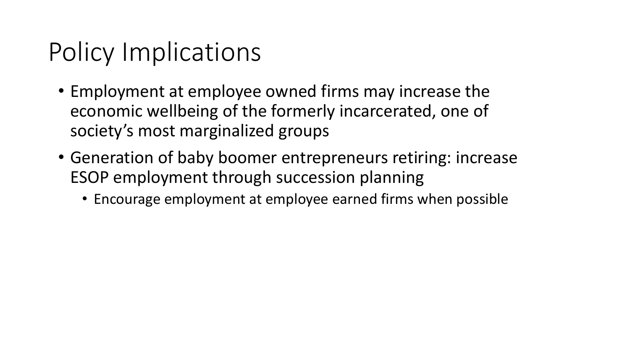# Policy Implications

- Employment at employee owned firms may increase the economic wellbeing of the formerly incarcerated, one of society's most marginalized groups
- Generation of baby boomer entrepreneurs retiring: increase ESOP employment through succession planning
	- Encourage employment at employee earned firms when possible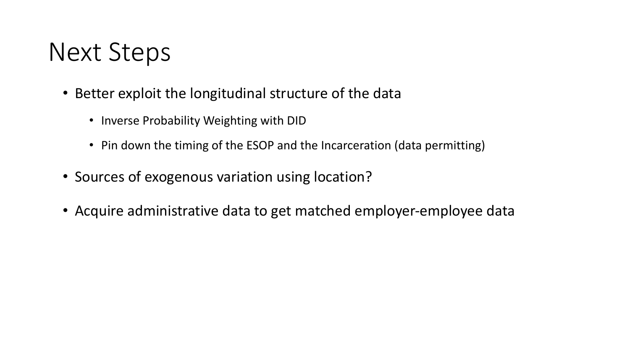#### Next Steps

- Better exploit the longitudinal structure of the data
	- Inverse Probability Weighting with DID
	- Pin down the timing of the ESOP and the Incarceration (data permitting)
- Sources of exogenous variation using location?
- Acquire administrative data to get matched employer-employee data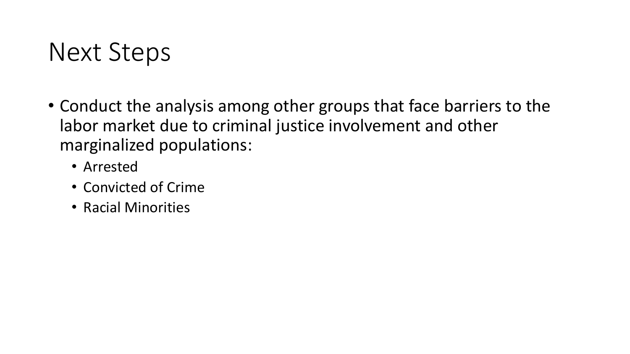#### Next Steps

- Conduct the analysis among other groups that face barriers to the labor market due to criminal justice involvement and other marginalized populations:
	- Arrested
	- Convicted of Crime
	- Racial Minorities